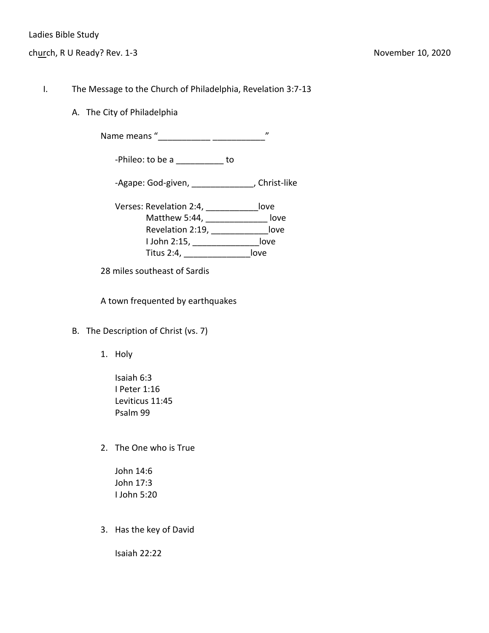- I. The Message to the Church of Philadelphia, Revelation 3:7-13
	- A. The City of Philadelphia

Name means "\_\_\_\_\_\_\_\_\_\_\_ \_\_\_\_\_\_\_\_\_\_\_"

-Phileo: to be a \_\_\_\_\_\_\_\_\_\_ to

-Agape: God-given, \_\_\_\_\_\_\_\_\_\_\_\_\_\_\_, Christ-like

Verses: Revelation 2:4, \_\_\_\_\_\_\_\_\_\_\_love Matthew 5:44, \_\_\_\_\_\_\_\_\_\_\_\_\_\_\_\_ love Revelation 2:19, \_\_\_\_\_\_\_\_\_\_\_\_love I John 2:15, \_\_\_\_\_\_\_\_\_\_\_\_\_\_love Titus 2:4, \_\_\_\_\_\_\_\_\_\_\_\_\_\_love

28 miles southeast of Sardis

A town frequented by earthquakes

- B. The Description of Christ (vs. 7)
	- 1. Holy
		- Isaiah 6:3 I Peter 1:16 Leviticus 11:45 Psalm 99
	- 2. The One who is True

John 14:6 John 17:3 I John 5:20

3. Has the key of David

Isaiah 22:22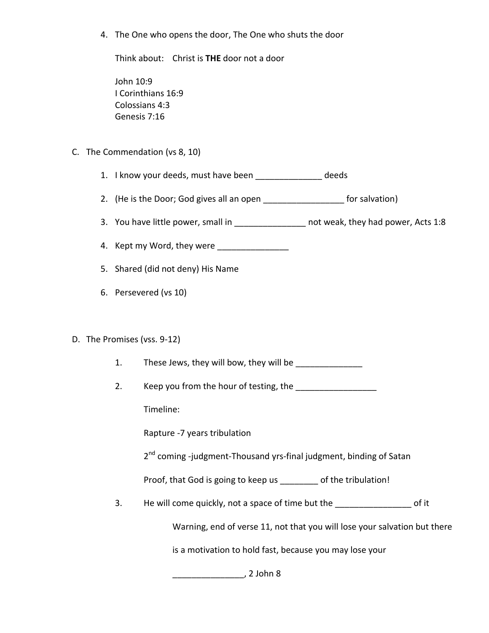4. The One who opens the door, The One who shuts the door

Think about: Christ is **THE** door not a door

John 10:9 I Corinthians 16:9 Colossians 4:3 Genesis 7:16

## C. The Commendation (vs 8, 10)

- 1. I know your deeds, must have been \_\_\_\_\_\_\_\_\_\_\_\_\_\_ deeds
- 2. (He is the Door; God gives all an open \_\_\_\_\_\_\_\_\_\_\_\_\_\_\_\_\_\_\_\_\_ for salvation)
- 3. You have little power, small in \_\_\_\_\_\_\_\_\_\_\_\_\_\_\_\_\_ not weak, they had power, Acts 1:8
- 4. Kept my Word, they were
- 5. Shared (did not deny) His Name
- 6. Persevered (vs 10)

## D. The Promises (vss. 9-12)

- 1. These Jews, they will bow, they will be
- 2. Keep you from the hour of testing, the \_\_\_\_\_\_\_\_\_\_\_\_\_\_\_

Timeline:

Rapture -7 years tribulation

2<sup>nd</sup> coming -judgment-Thousand yrs-final judgment, binding of Satan

Proof, that God is going to keep us \_\_\_\_\_\_\_\_ of the tribulation!

3. He will come quickly, not a space of time but the \_\_\_\_\_\_\_\_\_\_\_\_\_\_\_\_\_\_\_\_\_\_\_ of it

Warning, end of verse 11, not that you will lose your salvation but there

is a motivation to hold fast, because you may lose your

\_\_\_\_\_\_\_\_\_\_\_\_\_\_\_, 2 John 8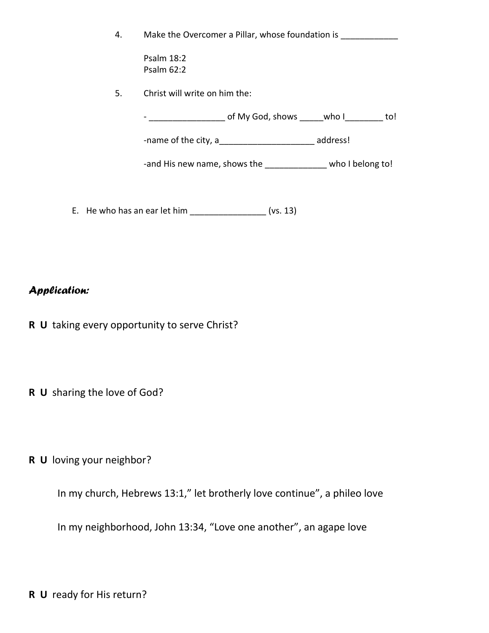|  | Make the Overcomer a Pillar, whose foundation is |  |
|--|--------------------------------------------------|--|
|--|--------------------------------------------------|--|

Psalm 18:2 Psalm 62:2

5. Christ will write on him the:

- \_\_\_\_\_\_\_\_\_\_\_\_\_\_\_\_\_\_\_\_\_\_\_\_ of My God, shows \_\_\_\_\_\_who I\_\_\_\_\_\_\_\_\_\_\_ to!

-name of the city, a set of the city, a set of  $\sim$  address!

-and His new name, shows the \_\_\_\_\_\_\_\_\_\_\_\_\_ who I belong to!

E. He who has an ear let him  $\frac{1}{2}$  (vs. 13)

## *Application:*

- **R U** taking every opportunity to serve Christ?
- **R U** sharing the love of God?
- **R U** loving your neighbor?

In my church, Hebrews 13:1," let brotherly love continue", a phileo love

In my neighborhood, John 13:34, "Love one another", an agape love